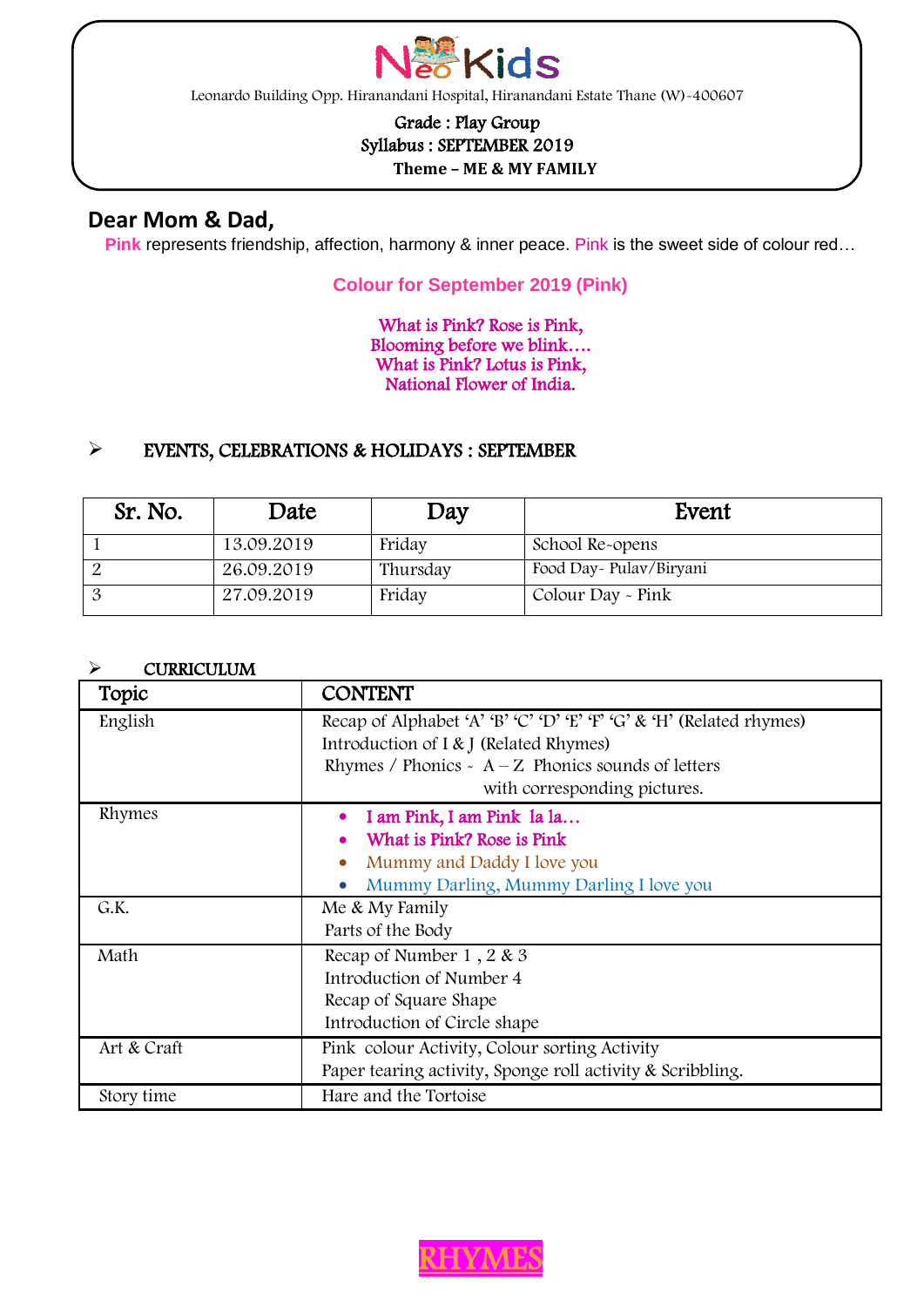

Leonardo Building Opp. Hiranandani Hospital, Hiranandani Estate Thane (W)-400607

## Grade : Play Group Syllabus : SEPTEMBER 2019

### **Theme – ME & MY FAMILY**

### **Dear Mom & Dad,**

ֺ

 $\overline{a}$ 

**Pink** represents friendship, affection, harmony & inner peace. Pink is the sweet side of colour red…

#### **Colour for September 2019 (Pink)**

What is Pink? Rose is Pink, Blooming before we blink…. What is Pink? Lotus is Pink, National Flower of India.

#### EVENTS, CELEBRATIONS & HOLIDAYS : SEPTEMBER

| Sr. No. | Date       | Day      | Event                   |
|---------|------------|----------|-------------------------|
|         | 13.09.2019 | Friday   | School Re-opens         |
|         | 26.09.2019 | Thursday | Food Day~ Pulay/Biryani |
|         | 27.09.2019 | Friday   | Colour Day - Pink       |

#### > CURRICULUM

| Topic       | <b>CONTENT</b>                                                                       |  |  |
|-------------|--------------------------------------------------------------------------------------|--|--|
| English     | Recap of Alphabet 'A' 'B' 'C' 'D' 'E' 'F' 'G' & 'H' (Related rhymes)                 |  |  |
|             | Introduction of I & J (Related Rhymes)                                               |  |  |
|             | Rhymes / Phonics - $A - Z$ Phonics sounds of letters<br>with corresponding pictures. |  |  |
|             |                                                                                      |  |  |
| Rhymes      | I am Pink, I am Pink la la                                                           |  |  |
|             | What is Pink? Rose is Pink                                                           |  |  |
|             | Mummy and Daddy I love you                                                           |  |  |
|             | Mummy Darling, Mummy Darling I love you                                              |  |  |
| G.K.        | Me & My Family                                                                       |  |  |
|             | Parts of the Body                                                                    |  |  |
| Math        | Recap of Number 1, 2 & 3                                                             |  |  |
|             | Introduction of Number 4                                                             |  |  |
|             | Recap of Square Shape                                                                |  |  |
|             | Introduction of Circle shape                                                         |  |  |
| Art & Craft | Pink colour Activity, Colour sorting Activity                                        |  |  |
|             | Paper tearing activity, Sponge roll activity & Scribbling.                           |  |  |
| Story time  | Hare and the Tortoise                                                                |  |  |



j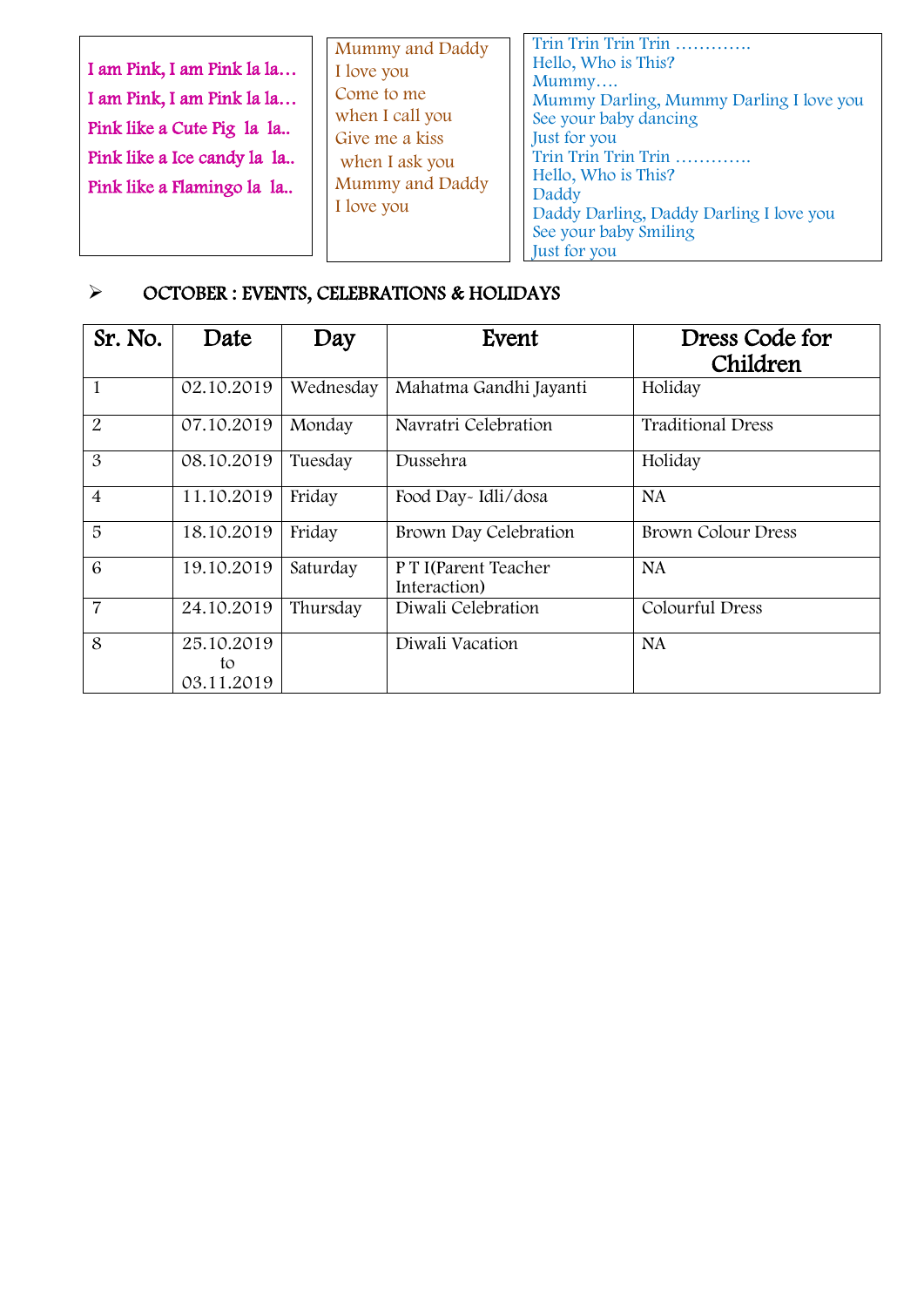| I am Pink, I am Pink la la<br>I am Pink, I am Pink la la<br>Pink like a Cute Pig la la<br>Pink like a Ice candy la la<br>Pink like a Flamingo la la | Mummy and Daddy<br>I love you<br>Come to me<br>when I call you<br>Give me a kiss<br>when I ask you<br>Mummy and Daddy<br>I love you | Trin Trin Trin Trin<br>Hello, Who is This?<br>Mummy<br>Mummy Darling, Mummy Darling I love you<br>See your baby dancing<br><b>Just</b> for you<br>Trin Trin Trin Trin<br>Hello, Who is This?<br>Daddy<br>Daddy Darling, Daddy Darling I love you<br>See your baby Smiling<br>Just for you |
|-----------------------------------------------------------------------------------------------------------------------------------------------------|-------------------------------------------------------------------------------------------------------------------------------------|-------------------------------------------------------------------------------------------------------------------------------------------------------------------------------------------------------------------------------------------------------------------------------------------|
|-----------------------------------------------------------------------------------------------------------------------------------------------------|-------------------------------------------------------------------------------------------------------------------------------------|-------------------------------------------------------------------------------------------------------------------------------------------------------------------------------------------------------------------------------------------------------------------------------------------|

# OCTOBER : EVENTS, CELEBRATIONS & HOLIDAYS

| Sr. No.        | Date                           | Day       | Event                                | Dress Code for<br>Children |
|----------------|--------------------------------|-----------|--------------------------------------|----------------------------|
| $\mathbf{1}$   | 02.10.2019                     | Wednesday | Mahatma Gandhi Jayanti               | Holiday                    |
| $\overline{2}$ | 07.10.2019                     | Monday    | Navratri Celebration                 | <b>Traditional Dress</b>   |
| $\mathfrak{B}$ | 08.10.2019                     | Tuesday   | Dussehra                             | Holiday                    |
| $\overline{4}$ | 11.10.2019                     | Friday    | Food Day-Idli/dosa                   | <b>NA</b>                  |
| 5              | 18.10.2019                     | Friday    | Brown Day Celebration                | <b>Brown Colour Dress</b>  |
| 6              | 19.10.2019                     | Saturday  | P T I(Parent Teacher<br>Interaction) | <b>NA</b>                  |
| 7              | 24.10.2019                     | Thursday  | Diwali Celebration                   | Colourful Dress            |
| 8              | 25.10.2019<br>to<br>03.11.2019 |           | Diwali Vacation                      | NA.                        |